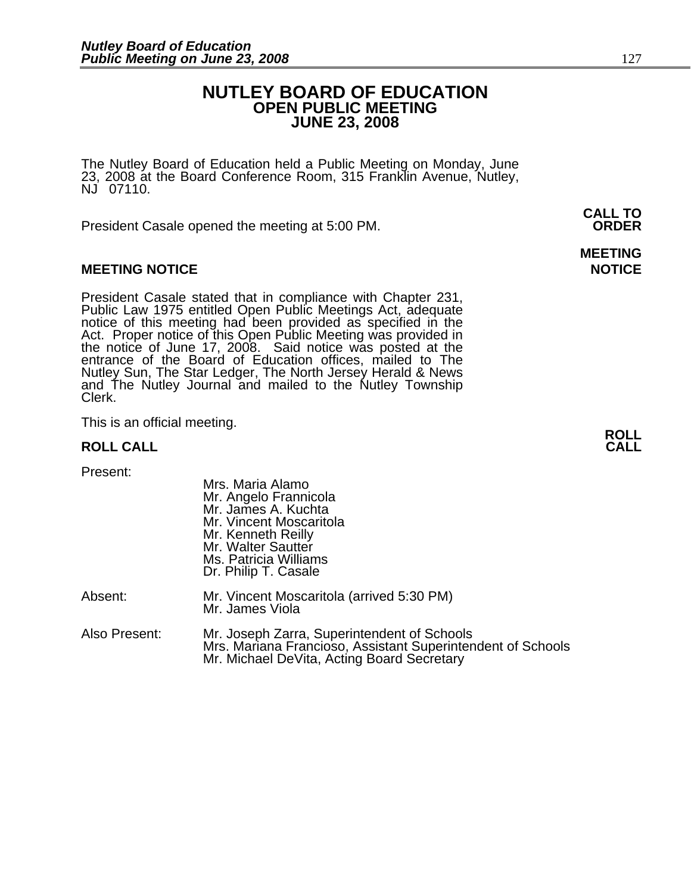# **NUTLEY BOARD OF EDUCATION OPEN PUBLIC MEETING JUNE 23, 2008**

**MEETING** 

The Nutley Board of Education held a Public Meeting on Monday, June 23, 2008 at the Board Conference Room, 315 Franklin Avenue, Nutley, NJ 07110.

 **CALL TO**  President Casale opened the meeting at 5:00 PM. **ORDER**

# **MEETING NOTICE NOTICE AND RESERVE ASSESS**

President Casale stated that in compliance with Chapter 231,<br>Public Law 1975 entitled Open Public Meetings Act, adequate<br>notice of this meeting had been provided as specified in the<br>Act. Proper notice of this Open Public M the notice of June 17, 2008. Said notice was posted at the<br>entrance of the Board of Education offices, mailed to The Nutley Sun, The Star Ledger, The North Jersey Herald & News and The Nutley Journal and mailed to the Nutley Township Clerk.

This is an official meeting. **ROLL ROLL CALL CALL** 

| Present:      | Mrs. Maria Alamo<br>Mr. Angelo Frannicola<br>Mr. James A. Kuchta<br>Mr. Vincent Moscaritola<br>Mr. Kenneth Reilly<br>Mr. Walter Sautter<br>Ms. Patricia Williams<br>Dr. Philip T. Casale |
|---------------|------------------------------------------------------------------------------------------------------------------------------------------------------------------------------------------|
| Absent:       | Mr. Vincent Moscaritola (arrived 5:30 PM)<br>Mr. James Viola                                                                                                                             |
| Also Present: | Mr. Joseph Zarra, Superintendent of Schools<br>Mrs. Mariana Francioso, Assistant Superintendent of Schools<br>Mr. Michael DeVita, Acting Board Secretary                                 |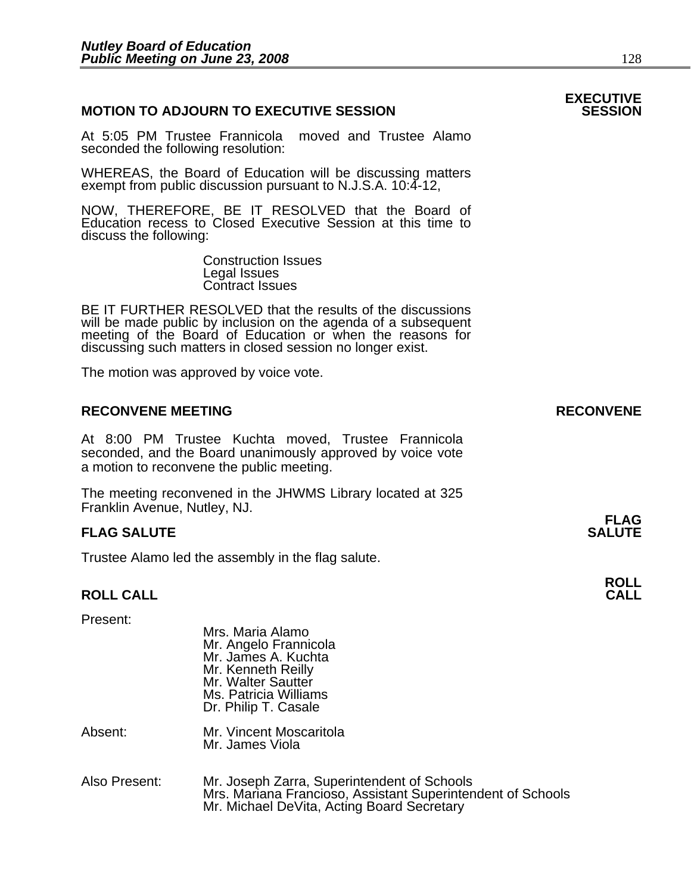# **MOTION TO ADJOURN TO EXECUTIVE SESSION**

At 5:05 PM Trustee Frannicola moved and Trustee Alamo seconded the following resolution:

WHEREAS, the Board of Education will be discussing matters exempt from public discussion pursuant to N.J.S.A. 10:4-12,

NOW, THEREFORE, BE IT RESOLVED that the Board of Education recess to Closed Executive Session at this time to discuss the following:

> Construction Issues Legal Issues Contract Issues

BE IT FURTHER RESOLVED that the results of the discussions will be made public by inclusion on the agenda of a subsequent meeting of the Board of Education or when the reasons for discussing such matters in closed session no longer exist.

The motion was approved by voice vote.

# **RECONVENE MEETING RECONVENE**

At 8:00 PM Trustee Kuchta moved, Trustee Frannicola seconded, and the Board unanimously approved by voice vote a motion to reconvene the public meeting.

The meeting reconvened in the JHWMS Library located at 325 Franklin Avenue, Nutley, NJ.

#### **FLAG FLAG SALUTE** SALUTE SALUTE SALUTE SALUTE SALUTE

Trustee Alamo led the assembly in the flag salute.

# **ROLL ROLL CALL CALL**

| Present:      | Mrs. Maria Alamo<br>Mr. Angelo Frannicola<br>Mr. James A. Kuchta<br>Mr. Kenneth Reilly<br>Mr. Walter Sautter<br>Ms. Patricia Williams<br>Dr. Philip T. Casale |
|---------------|---------------------------------------------------------------------------------------------------------------------------------------------------------------|
| Absent:       | Mr. Vincent Moscaritola<br>Mr. James Viola                                                                                                                    |
| Also Present: | Mr. Joseph Zarra, Superintendent of Schools<br>Mrs. Mariana Francioso, Assistant Superintendent of Schools<br>Mr. Michael DeVita, Acting Board Secretary      |

# **EXECUTIVE**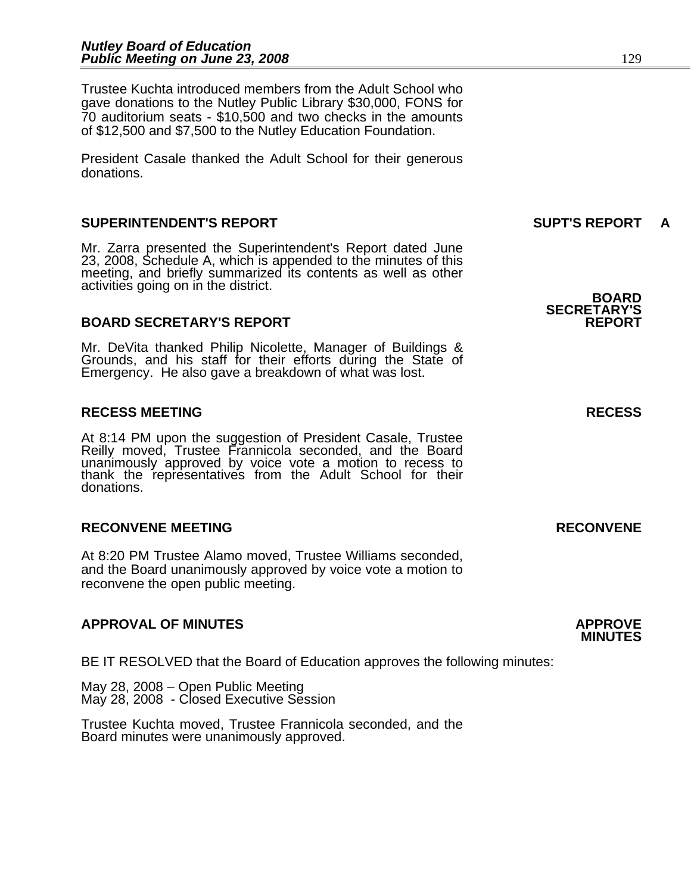Trustee Kuchta introduced members from the Adult School who gave donations to the Nutley Public Library \$30,000, FONS for 70 auditorium seats - \$10,500 and two checks in the amounts of \$12,500 and \$7,500 to the Nutley Education Foundation.

President Casale thanked the Adult School for their generous donations.

# **SUPERINTENDENT'S REPORT SUPT'S REPORT A**

Mr. Zarra presented the Superintendent's Report dated June 23, 2008, Schedule A, which is appended to the minutes of this meeting, and briefly summarized its contents as well as other activities going on in the district. **BOARD BOARD** 

# **BOARD SECRETARY'S REPORT**

Mr. DeVita thanked Philip Nicolette, Manager of Buildings & Grounds, and his staff for their efforts during the State of Emergency. He also gave a breakdown of what was lost.

### **RECESS MEETING RECESS**

At 8:14 PM upon the suggestion of President Casale, Trustee Reilly moved, Trustee Frannicola seconded, and the Board unanimously approved by voice vote a motion to recess to thank the representatives from the Adult School for their donations.

# **RECONVENE MEETING RECONVENE**

At 8:20 PM Trustee Alamo moved, Trustee Williams seconded, and the Board unanimously approved by voice vote a motion to reconvene the open public meeting.

# **APPROVAL OF MINUTES APPROVE**

BE IT RESOLVED that the Board of Education approves the following minutes:

 May 28, 2008 – Open Public Meeting May 28, 2008 - Closed Executive Session

 Trustee Kuchta moved, Trustee Frannicola seconded, and the Board minutes were unanimously approved.

**SECRETARY'S** 

# **MINUTES**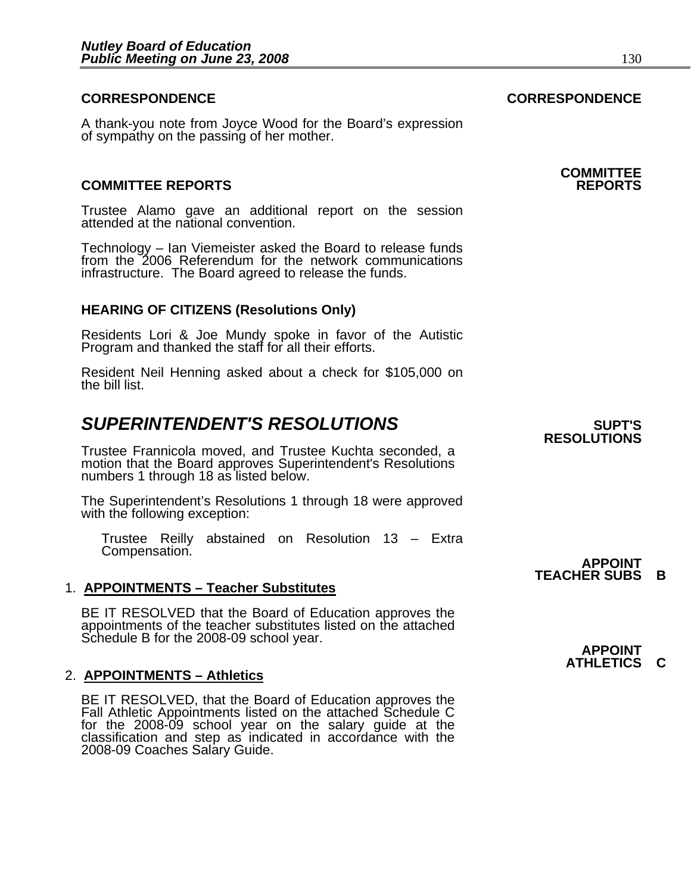# **CORRESPONDENCE CORRESPONDENCE**

A thank-you note from Joyce Wood for the Board's expression of sympathy on the passing of her mother.

# **COMMITTEE REPORTS REPORTS**

Trustee Alamo gave an additional report on the session attended at the national convention.

Technology – Ian Viemeister asked the Board to release funds from the 2006 Referendum for the network communications infrastructure. The Board agreed to release the funds.

# **HEARING OF CITIZENS (Resolutions Only)**

Residents Lori & Joe Mundy spoke in favor of the Autistic Program and thanked the staff for all their efforts.

Resident Neil Henning asked about a check for \$105,000 on the bill list.

# **SUPERINTENDENT'S RESOLUTIONS** *SUPERINTENDENT'S*

Trustee Frannicola moved, and Trustee Kuchta seconded, a motion that the Board approves Superintendent's Resolutions numbers 1 through 18 as listed below.

The Superintendent's Resolutions 1 through 18 were approved with the following exception:

Trustee Reilly abstained on Resolution 13 – Extra Compensation.

#### 1. **APPOINTMENTS – Teacher Substitutes**

BE IT RESOLVED that the Board of Education approves the appointments of the teacher substitutes listed on the attached Schedule B for the 2008-09 school year.<br>**APPOINT** 

#### 2. **APPOINTMENTS – Athletics**

BE IT RESOLVED, that the Board of Education approves the Fall Athletic Appointments listed on the attached Schedule C for the 2008-09 school year on the salary guide at the classification and step as indicated in accordance with the 2008-09 Coaches Salary Guide.

# **COMMITTEE**

**RESOLUTIONS** 

**APPOINT TEACHER SUBS B** 

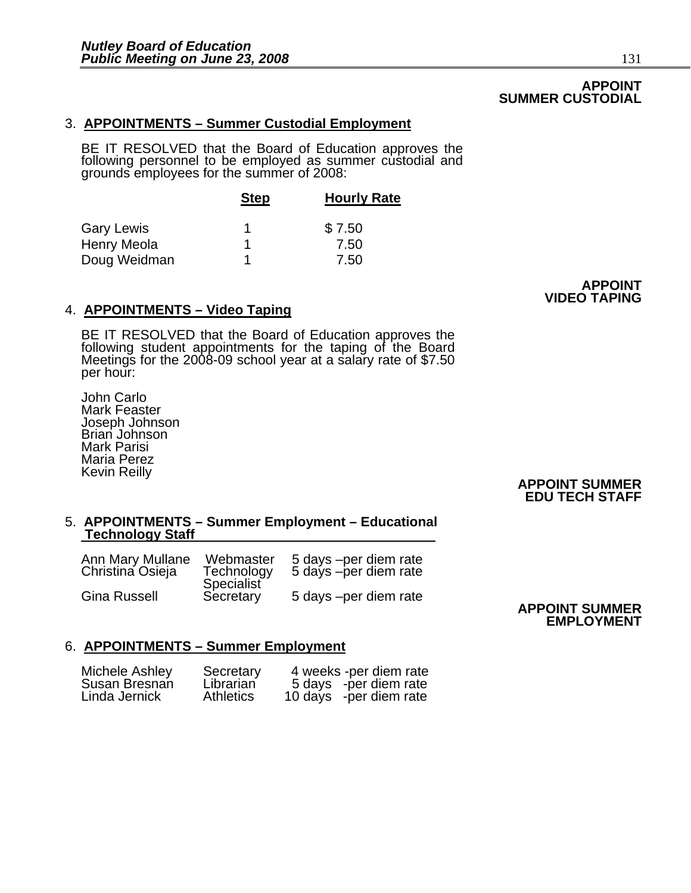# **APPOINT SUMMER CUSTODIAL**

# 3. **APPOINTMENTS – Summer Custodial Employment**

BE IT RESOLVED that the Board of Education approves the<br>following personnel to be employed as summer custodial and grounds employees for the summer of 2008:

|                   | <b>Step</b> | <b>Hourly Rate</b> |  |
|-------------------|-------------|--------------------|--|
| <b>Gary Lewis</b> | 1           | \$7.50             |  |
| Henry Meola       |             | 7.50               |  |
| Doug Weidman      |             | 7.50               |  |

# **4. APPOINTMENTS – Video Taping and Service Control of the VIDEO TAPING**

BE IT RESOLVED that the Board of Education approves the following student appointments for the taping of the Board Meetings for the 2008-09 school year at a salary rate of \$7.50 per hour:

John Carlo Mark Feaster Joseph Johnson Brian Johnson Mark Parisi Maria Perez Kevin Reilly

 **APPOINT SUMMER EDU TECH STAFF** 

#### 5. **APPOINTMENTS – Summer Employment – Educational Technology Staff**

| Ann Mary Mullane    | Webmaster               | 5 days -per diem rate |
|---------------------|-------------------------|-----------------------|
| Christina Osieja    | Technology              | 5 days -per diem rate |
| <b>Gina Russell</b> | Specialist<br>Secretary | 5 days -per diem rate |

#### **APPOINT SUMMER EMPLOYMENT**

# 6. **APPOINTMENTS – Summer Employment**

| Michele Ashley | Secretary        | 4 weeks -per diem rate |
|----------------|------------------|------------------------|
| Susan Bresnan  | Librarian        | 5 days -per diem rate  |
| Linda Jernick  | <b>Athletics</b> | 10 days -per diem rate |

**APPOINT**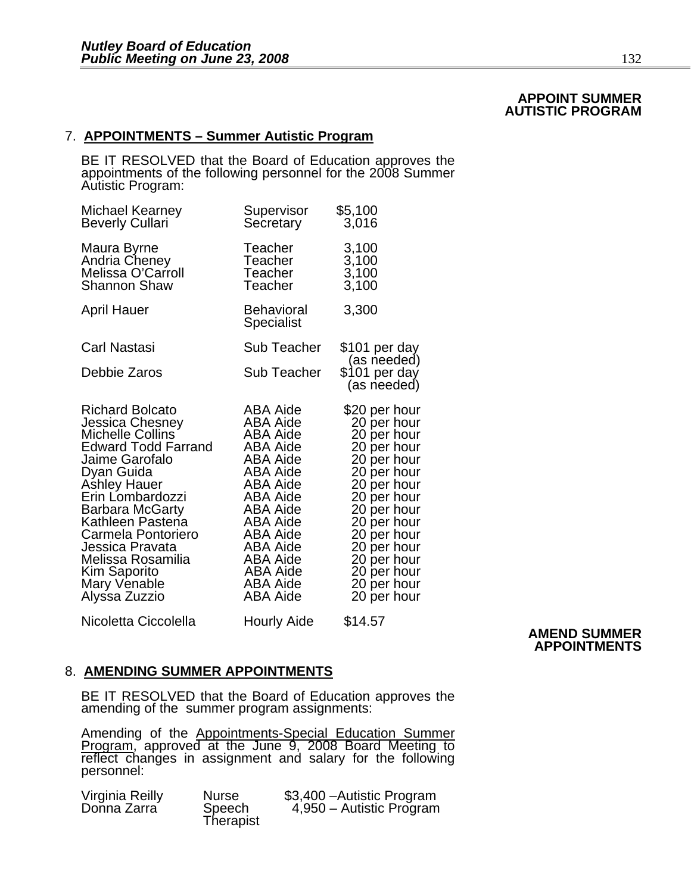# **APPOINT SUMMER AUTISTIC PROGRAM**

# 7. **APPOINTMENTS – Summer Autistic Program**

BE IT RESOLVED that the Board of Education approves the appointments of the following personnel for the 2008 Summer Autistic Program:

| Michael Kearney<br><b>Beverly Cullari</b>                                                                                                                                                                                                                                                                                    | Supervisor<br>Secretary                                                                                                                                                                                           | \$5,100<br>3,016                                                                                                                                                                                                                               |                     |
|------------------------------------------------------------------------------------------------------------------------------------------------------------------------------------------------------------------------------------------------------------------------------------------------------------------------------|-------------------------------------------------------------------------------------------------------------------------------------------------------------------------------------------------------------------|------------------------------------------------------------------------------------------------------------------------------------------------------------------------------------------------------------------------------------------------|---------------------|
| Maura Byrne<br>Andria Cheney<br>Melissa O'Carroll<br><b>Shannon Shaw</b>                                                                                                                                                                                                                                                     | Teacher<br>Teacher<br>Teacher<br>Teacher                                                                                                                                                                          | 3,100<br>3,100<br>3,100<br>3,100                                                                                                                                                                                                               |                     |
| <b>April Hauer</b>                                                                                                                                                                                                                                                                                                           | <b>Behavioral</b><br>Specialist                                                                                                                                                                                   | 3,300                                                                                                                                                                                                                                          |                     |
| <b>Carl Nastasi</b>                                                                                                                                                                                                                                                                                                          | Sub Teacher                                                                                                                                                                                                       | \$101 per day<br>(as needed)                                                                                                                                                                                                                   |                     |
| Debbie Zaros                                                                                                                                                                                                                                                                                                                 | <b>Sub Teacher</b>                                                                                                                                                                                                | \$101 per day<br>(as needed)                                                                                                                                                                                                                   |                     |
| <b>Richard Bolcato</b><br>Jessica Chesney<br>Michelle Collins<br><b>Edward Todd Farrand</b><br>Jaime Garofalo<br>Dyan Guida<br><b>Ashley Hauer</b><br>Erin Lombardozzi<br>Barbara McGarty<br>Kathleen Pastena<br>Carmela Pontoriero<br>Jessica Pravata<br>Melissa Rosamilia<br>Kim Saporito<br>Mary Venable<br>Alyssa Zuzzio | <b>ABA Aide</b><br>ABA Aide<br>ABA Aide<br>ABA Aide<br>ABA Aide<br>ABA Aide<br>ABA Aide<br>ABA Aide<br>ABA Aide<br><b>ABA Aide</b><br>ABA Aide<br>ABA Aide<br><b>ABA Aide</b><br>ABA Aide<br>ABA Aide<br>ABA Aide | \$20 per hour<br>20 per hour<br>20 per hour<br>20 per hour<br>20 per hour<br>20 per hour<br>20 per hour<br>20 per hour<br>20 per hour<br>20 per hour<br>20 per hour<br>20 per hour<br>20 per hour<br>20 per hour<br>20 per hour<br>20 per hour |                     |
| Nicoletta Ciccolella                                                                                                                                                                                                                                                                                                         | Hourly Aide                                                                                                                                                                                                       | \$14.57                                                                                                                                                                                                                                        | <b>AMEND SUMMER</b> |

# **APPOINTMENTS**

#### 8. **AMENDING SUMMER APPOINTMENTS**

BE IT RESOLVED that the Board of Education approves the amending of the summer program assignments:

Amending of the Appointments-Special Education Summer<br>Program, approved at the June 9, 2008 Board Meeting to<br>reflect changes in assignment and salary for the following<br>personnel:

| Virginia Reilly<br>Donna Zarra | <b>Nurse</b><br>Speech<br>Therapist | \$3,400 - Autistic Program<br>4,950 - Autistic Program |
|--------------------------------|-------------------------------------|--------------------------------------------------------|
|--------------------------------|-------------------------------------|--------------------------------------------------------|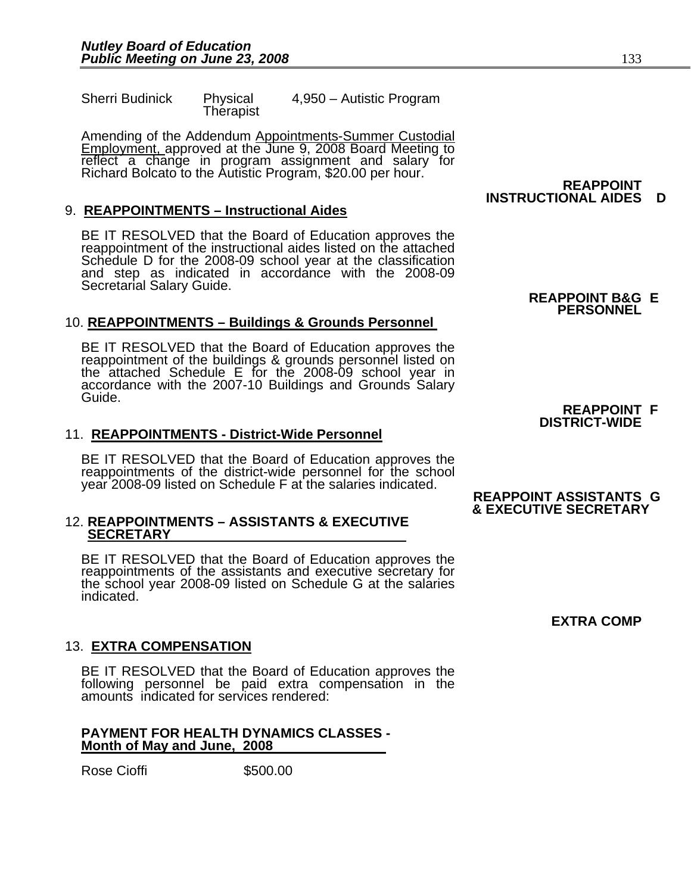Therapist

Sherri Budinick Physical 4,950 – Autistic Program

Amending of the Addendum Appointments-Summer Custodial Employment, approved at the June 9, 2008 Board Meeting to Fellect a change in program assignment and salary for<br>Richard Bolcato to the Autistic Program, \$20.00 per hour. **REAPPOINT** 

# 9. **REAPPOINTMENTS – Instructional Aides**

BE IT RESOLVED that the Board of Education approves the reappointment of the instructional aides listed on the attached Schedule D for the 2008-09 school year at the classification and step as indicated in accordance with the 2008-09 Secretarial Salary Guide. **REAPPOINT B&G E** 

# 10. **REAPPOINTMENTS – Buildings & Grounds Personnel**

BE IT RESOLVED that the Board of Education approves the reappointment of the buildings & grounds personnel listed on the attached Schedule E for the 2008-09 school year in accordance with the 2007-10 Buildings and Grounds

# 11. **REAPPOINTMENTS - District-Wide Personnel**

BE IT RESOLVED that the Board of Education approves the reappointments of the district-wide personnel for the school year 2008-09 listed on Schedule F at the salaries indicated.

#### 12. **REAPPOINTMENTS – ASSISTANTS & EXECUTIVE SECRETARY**

BE IT RESOLVED that the Board of Education approves the reappointments of the assistants and executive secretary for the school year 2008-09 listed on Schedule G at the salaries indicated.

# 13. **EXTRA COMPENSATION**

BE IT RESOLVED that the Board of Education approves the following personnel be paid extra compensation in the amounts indicated for services rendered:

#### **PAYMENT FOR HEALTH DYNAMICS CLASSES - Month of May and June, 2008**

Rose Cioffi \$500.00

# **INSTRUCTIONAL AIDES D**

# **PERSONNEL**

### **REAPPOINT F DISTRICT-WIDE**

#### **REAPPOINT ASSISTANTS G & EXECUTIVE SECRETARY**

# **EXTRA COMP**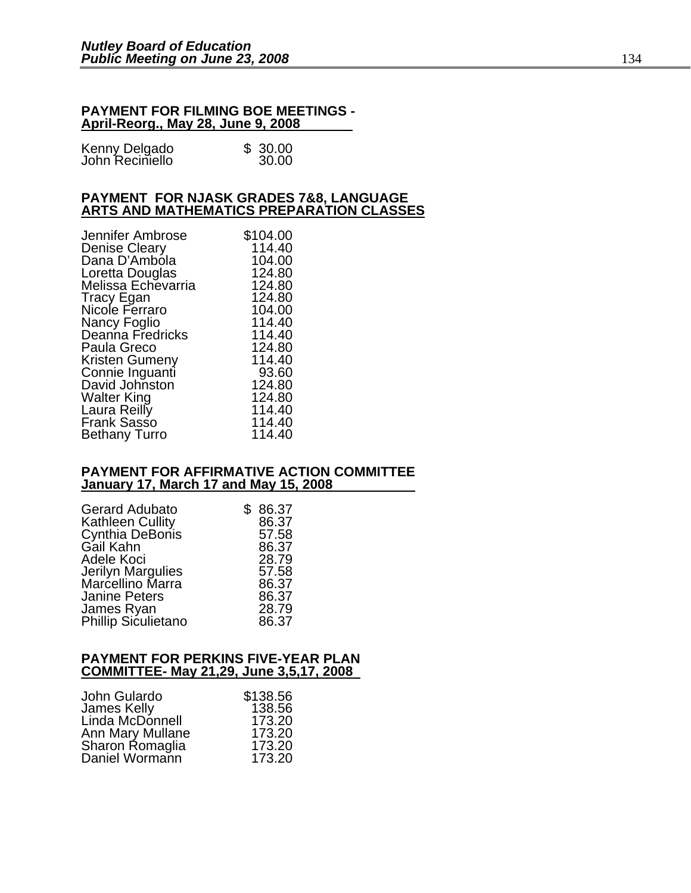#### **PAYMENT FOR FILMING BOE MEETINGS - April-Reorg., May 28, June 9, 2008**

| Kenny Delgado<br>John Reciniello | \$30.00 |
|----------------------------------|---------|
|                                  | 30.00   |

# **PAYMENT FOR NJASK GRADES 7&8, LANGUAGE ARTS AND MATHEMATICS PREPARATION CLASSES**

| Jennifer Ambrose     | \$104.00 |
|----------------------|----------|
| <b>Denise Cleary</b> | 114.40   |
| Dana D'Ambola        | 104.00   |
| Loretta Douglas      | 124.80   |
| Melissa Echevarria   | 124.80   |
| Tracy Egan           | 124.80   |
| Nicole Ferraro       | 104.00   |
| Nancy Foglio         | 114.40   |
| Deanna Fredricks     | 114.40   |
| Paula Greco          | 124.80   |
| Kristen Gumeny       | 114.40   |
| Connie Inguanti      | 93.60    |
| David Johnston       | 124.80   |
| Walter King          | 124.80   |
| Laura Reilly         | 114.40   |
| <b>Frank Sasso</b>   | 114.40   |
| Bethany Turro        | 114.40   |

#### **PAYMENT FOR AFFIRMATIVE ACTION COMMITTEE January 17, March 17 and May 15, 2008**

| <b>Gerard Adubato</b>      | \$86.37 |
|----------------------------|---------|
| <b>Kathleen Cullity</b>    | 86.37   |
| Cynthia DeBonis            | 57.58   |
| Gail Kahn                  | 86.37   |
| Adele Koci                 | 28.79   |
| Jerilyn Margulies          | 57.58   |
| Marcellino Marra           | 86.37   |
| <b>Janine Peters</b>       | 86.37   |
| James Ryan                 | 28.79   |
| <b>Phillip Siculietano</b> | 86.37   |

#### **PAYMENT FOR PERKINS FIVE-YEAR PLAN COMMITTEE- May 21,29, June 3,5,17, 2008**

| John Gulardo     | \$138.56 |
|------------------|----------|
| James Kelly      | 138.56   |
| Linda McDonnell  | 173.20   |
| Ann Mary Mullane | 173.20   |
| Sharon Romaglia  | 173.20   |
| Daniel Wormann   | 173.20   |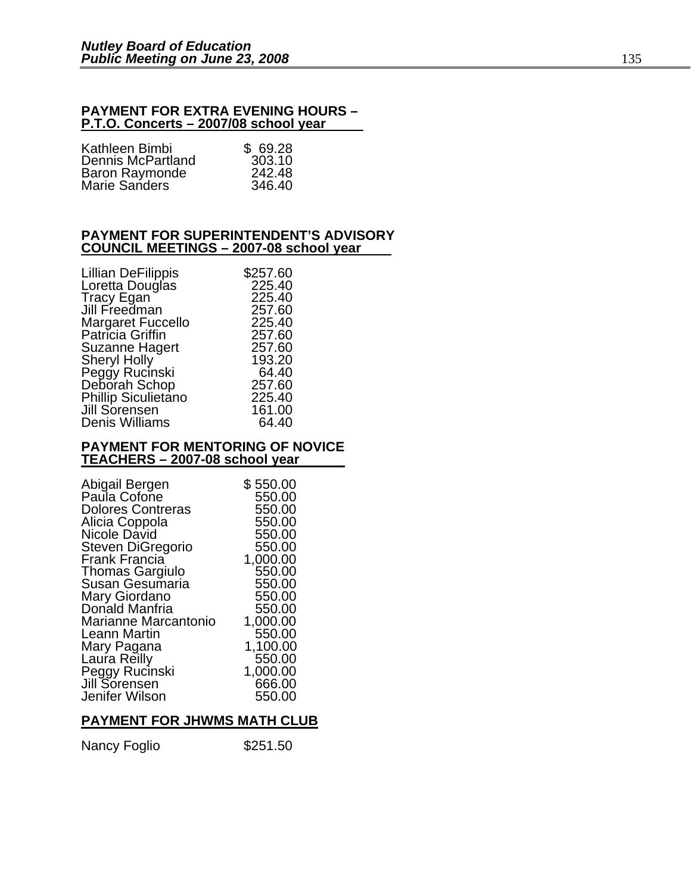#### **PAYMENT FOR EXTRA EVENING HOURS – P.T.O. Concerts – 2007/08 school year**

| Kathleen Bimbi           | \$69.28 |
|--------------------------|---------|
| <b>Dennis McPartland</b> | 303.10  |
| <b>Baron Raymonde</b>    | 242.48  |
| <b>Marie Sanders</b>     | 346.40  |

### **PAYMENT FOR SUPERINTENDENT'S ADVISORY COUNCIL MEETINGS – 2007-08 school year**

| <b>Lillian DeFilippis</b>  | \$257.60 |
|----------------------------|----------|
| Loretta Douglas            | 225.40   |
| Tracy Egan                 | 225.40   |
| Jill Freedman              | 257.60   |
| <b>Margaret Fuccello</b>   | 225.40   |
| Patricia Griffin           | 257.60   |
| Suzanne Hagert             | 257.60   |
| <b>Sheryl Holly</b>        | 193.20   |
| Peggy Rucinski             | 64.40    |
| Deborah Schop              | 257.60   |
| <b>Phillip Siculietano</b> | 225.40   |
| Jill Sorensen              | 161.00   |
| Denis Williams             | 64.40    |
|                            |          |

#### **PAYMENT FOR MENTORING OF NOVICE TEACHERS – 2007-08 school year**

| Abigail Bergen<br>Paula Cofone  | \$ 550.00<br>550.00 |
|---------------------------------|---------------------|
| <b>Dolores Contreras</b>        | 550.00              |
| Alicia Coppola                  | 550.00              |
| Nicole David                    | 550.00              |
| Steven DiGregorio               | 550.00              |
| Frank Francia                   | 1,000.00            |
| <b>Thomas Gargiulo</b>          | 550.00              |
| Susan Gesumaria                 | 550.00              |
| Mary Giordano                   | 550.00              |
| Donald Manfria                  | 550.00              |
| Marianne Marcantonio            | 1,000.00            |
| <b>Leann Martin</b>             | 550.00              |
| Mary Pagana                     | 1,100.00            |
| Laura Reilly                    | 550.00              |
| Peggy Rucinski<br>Jill Sorensen | 1,000.00<br>666.00  |
| Jenifer Wilson                  | 550.00              |
|                                 |                     |

# **PAYMENT FOR JHWMS MATH CLUB**

| Nancy Foglio | \$251.50 |
|--------------|----------|
|--------------|----------|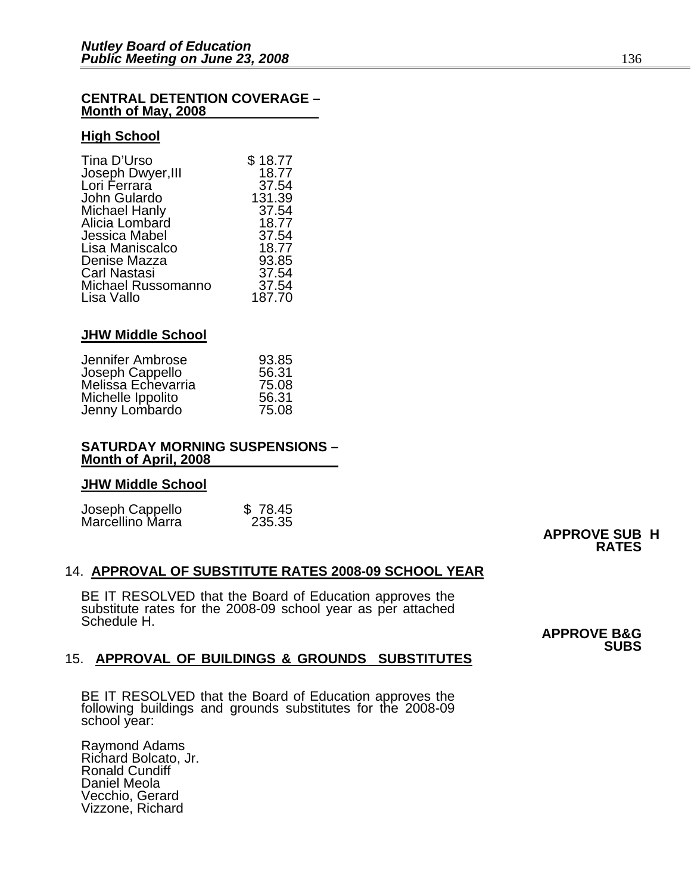#### **CENTRAL DETENTION COVERAGE – Month of May, 2008**

#### **High School**

| \$18.77 |
|---------|
| 18.77   |
| 37.54   |
| 131.39  |
| 37.54   |
| 18.77   |
| 37.54   |
| 18.77   |
| 93.85   |
| 37.54   |
| 37.54   |
| 187.70  |
|         |

### **JHW Middle School**

| Jennifer Ambrose                      | 93.85 |
|---------------------------------------|-------|
| Joseph Cappello<br>Melissa Echevarria | 56.31 |
|                                       | 75.08 |
| Michelle Ippolito                     | 56.31 |
| Jenny Lombardo                        | 75.08 |

#### **SATURDAY MORNING SUSPENSIONS – Month of April, 2008**

#### **JHW Middle School**

|                                     | \$78.45 |
|-------------------------------------|---------|
| Joseph Cappello<br>Marcellino Marra | 235.35  |

# **APPROVE SUB H RATES**

#### 14. **APPROVAL OF SUBSTITUTE RATES 2008-09 SCHOOL YEAR**

BE IT RESOLVED that the Board of Education approves the substitute rates for the 2008-09 school year as per attached Schedule H.

**APPROVE B&G SUBS** 

# 15. **APPROVAL OF BUILDINGS & GROUNDS SUBSTITUTES**

BE IT RESOLVED that the Board of Education approves the following buildings and grounds substitutes for the 2008-09 school year:

Raymond Adams Richard Bolcato, Jr. Ronald Cundiff Daniel Meola Vecchio, Gerard Vizzone, Richard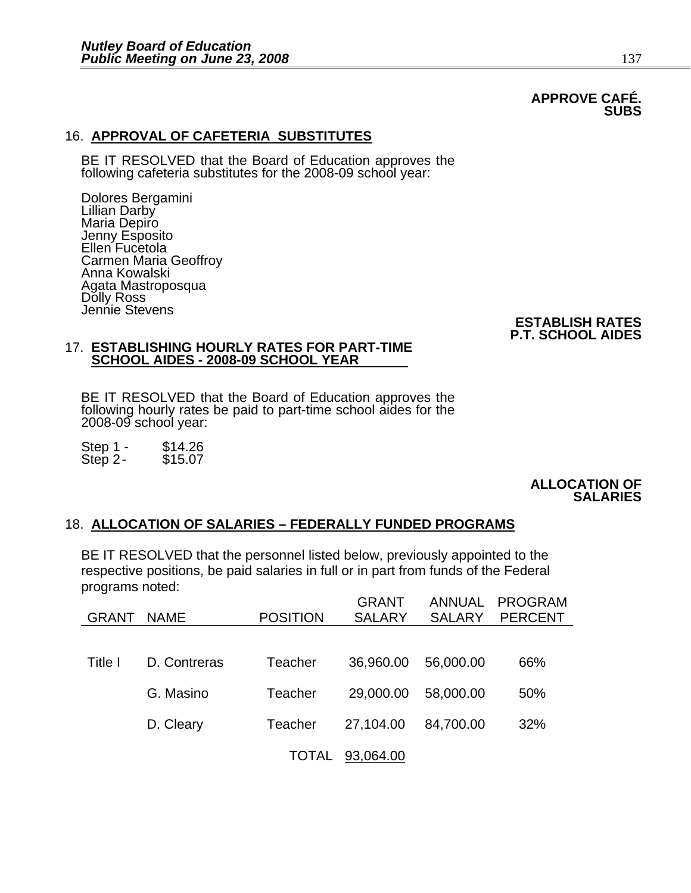# **APPROVE CAFÉ. SUBS**

# 16. **APPROVAL OF CAFETERIA SUBSTITUTES**

BE IT RESOLVED that the Board of Education approves the following cafeteria substitutes for the 2008-09 school year:

Dolores Bergamini Lillian Darby Maria Depiro Jenny Esposito Ellen Fucetola Carmen Maria Geoffroy Anna Kowalski Agata Mastroposqua Dolly Ross Jennie Stevens

# **ESTABLISH RATES P.T. SCHOOL AIDES**

#### 17. **ESTABLISHING HOURLY RATES FOR PART-TIME SCHOOL AIDES - 2008-09 SCHOOL YEAR**

BE IT RESOLVED that the Board of Education approves the following hourly rates be paid to part-time school aides for the 2008-09 school year:

Step 1 - \$14.26<br>Step 2- \$15.07 Step  $2-$ 

#### **ALLOCATION OF SALARIES**

# 18. **ALLOCATION OF SALARIES – FEDERALLY FUNDED PROGRAMS**

BE IT RESOLVED that the personnel listed below, previously appointed to the respective positions, be paid salaries in full or in part from funds of the Federal programs noted:

| GRANT   | <b>NAME</b>  | <b>POSITION</b> | <b>GRANT</b><br><b>SALARY</b> | <b>ANNUAL</b><br><b>SALARY</b> | <b>PROGRAM</b><br><b>PERCENT</b> |
|---------|--------------|-----------------|-------------------------------|--------------------------------|----------------------------------|
|         |              |                 |                               |                                |                                  |
| Title I | D. Contreras | Teacher         | 36,960.00                     | 56,000.00                      | 66%                              |
|         | G. Masino    | Teacher         | 29,000.00                     | 58,000.00                      | 50%                              |
|         | D. Cleary    | Teacher         | 27,104.00                     | 84,700.00                      | 32%                              |
|         |              | <b>TOTAL</b>    | 93,064.00                     |                                |                                  |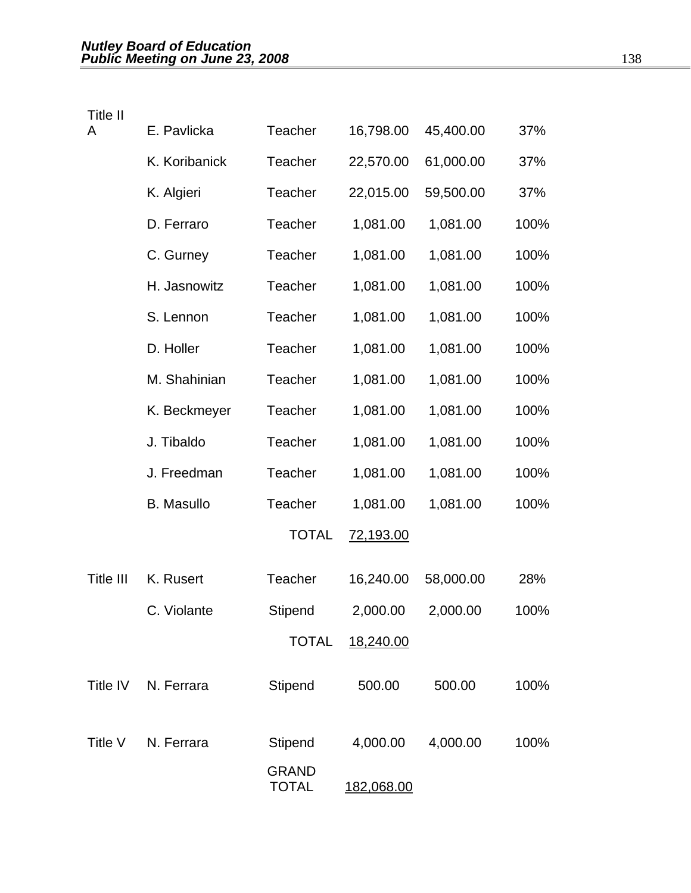| Title II  |                   |                              |                   |           |      |
|-----------|-------------------|------------------------------|-------------------|-----------|------|
| A         | E. Pavlicka       | <b>Teacher</b>               | 16,798.00         | 45,400.00 | 37%  |
|           | K. Koribanick     | Teacher                      | 22,570.00         | 61,000.00 | 37%  |
|           | K. Algieri        | Teacher                      | 22,015.00         | 59,500.00 | 37%  |
|           | D. Ferraro        | <b>Teacher</b>               | 1,081.00          | 1,081.00  | 100% |
|           | C. Gurney         | <b>Teacher</b>               | 1,081.00          | 1,081.00  | 100% |
|           | H. Jasnowitz      | <b>Teacher</b>               | 1,081.00          | 1,081.00  | 100% |
|           | S. Lennon         | Teacher                      | 1,081.00          | 1,081.00  | 100% |
|           | D. Holler         | Teacher                      | 1,081.00          | 1,081.00  | 100% |
|           | M. Shahinian      | Teacher                      | 1,081.00          | 1,081.00  | 100% |
|           | K. Beckmeyer      | <b>Teacher</b>               | 1,081.00          | 1,081.00  | 100% |
|           | J. Tibaldo        | <b>Teacher</b>               | 1,081.00          | 1,081.00  | 100% |
|           | J. Freedman       | Teacher                      | 1,081.00          | 1,081.00  | 100% |
|           | <b>B.</b> Masullo | <b>Teacher</b>               | 1,081.00          | 1,081.00  | 100% |
|           |                   | <b>TOTAL</b>                 | <u>72,193.00</u>  |           |      |
| Title III | K. Rusert         | <b>Teacher</b>               | 16,240.00         | 58,000.00 | 28%  |
|           | C. Violante       | Stipend                      | 2,000.00          | 2,000.00  | 100% |
|           |                   | <b>TOTAL</b>                 | 18,240.00         |           |      |
| Title IV  | N. Ferrara        | Stipend                      | 500.00            | 500.00    | 100% |
| Title V   | N. Ferrara        | <b>Stipend</b>               | 4,000.00          | 4,000.00  | 100% |
|           |                   | <b>GRAND</b><br><b>TOTAL</b> | <u>182,068.00</u> |           |      |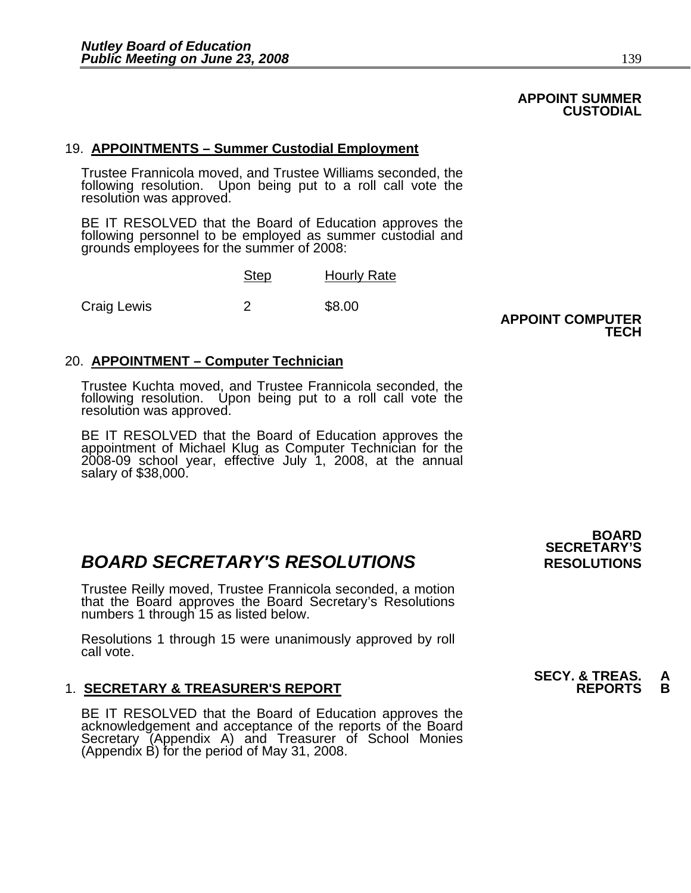# **APPOINT SUMMER CUSTODIAL**

# 19. **APPOINTMENTS – Summer Custodial Employment**

Trustee Frannicola moved, and Trustee Williams seconded, the following resolution. Upon being put to a roll call vote the resolution was approved.

BE IT RESOLVED that the Board of Education approves the following personnel to be employed as summer custodial and grounds employees for the summer of 2008: Ì

|             | <b>Step</b> | <b>Hourly Rate</b> |  |  |
|-------------|-------------|--------------------|--|--|
| Craig Lewis |             | \$8.00             |  |  |

### **APPOINT COMPUTER TECH AND RESIDENT CONTRACT CONTRACT CONTRACT CONTRACT CONTRACT CONTRACT CONTRACT CONTRACT CONTRACT CONTRACT CONTRACT CONTRACT CONTRACT CONTRACT CONTRACT CONTRACT CONTRACT CONTRACT CONTRACT CONTRACT CONTRACT CONTRACT CONTR**

# 20. **APPOINTMENT – Computer Technician**

Trustee Kuchta moved, and Trustee Frannicola seconded, the following resolution. Upon being put to a roll call vote the resolution was approved.

BE IT RESOLVED that the Board of Education approves the appointment of Michael Klug as Computer Technician for the 2008-09 school year, effective July 1, 2008, at the annual salary of \$38,000.

# **BOARD SECRETARY'S RESOLUTIONS** RESOLUTIONS

Trustee Reilly moved, Trustee Frannicola seconded, a motion that the Board approves the Board Secretary's Resolutions numbers 1 through 15 as listed below.

Resolutions 1 through 15 were unanimously approved by roll call vote.

# **1. SECRETARY & TREASURER'S REPORT**

BE IT RESOLVED that the Board of Education approves the acknowledgement and acceptance of the reports of the Board Secretary (Appendix A) and Treasurer of School Monies (Appendix B) for the period of May 31, 2008.

 **BOARD SECRETARY'S** 

# **SECY. & TREAS. A<br>REPORTS B**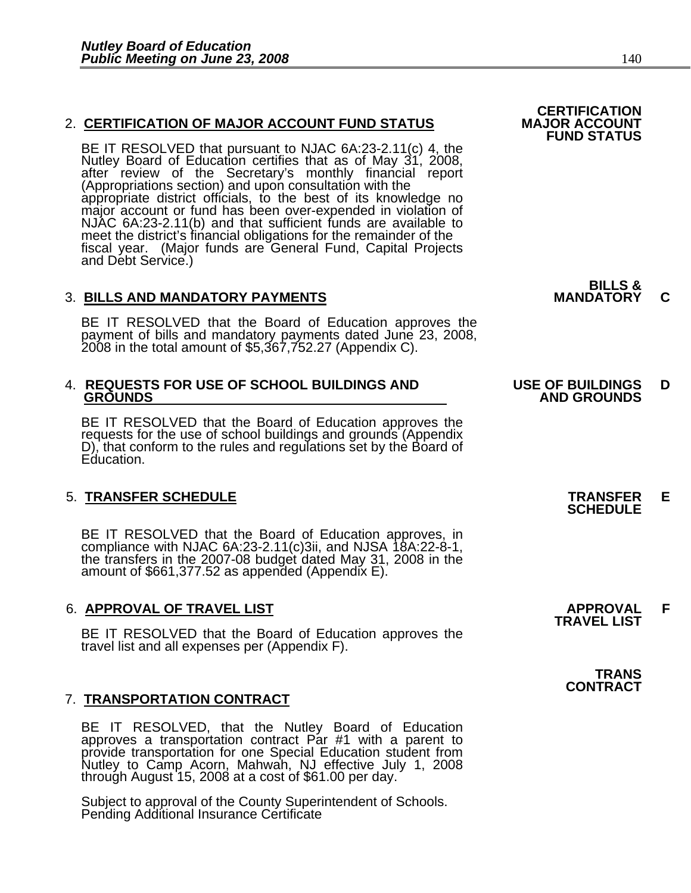# 2. CERTIFICATION OF MAJOR ACCOUNT FUND STATUS

BE IT RESOLVED that pursuant to NJAC 6A:23-2.11(c) 4, the<br>Nutley Board of Education certifies that as of May 31, 2008,<br>after review of the Secretary's monthly financial report<br>(Appropriations section) and upon consultation meet the district's financial obligations for the remainder of the fiscal year. (Major funds are General Fund, Capital Projects and Debt Service.)

# 3. **BILLS AND MANDATORY PAYMENTS MANDATORY C**

BE IT RESOLVED that the Board of Education approves the payment of bills and mandatory payments dated June 23, 2008, 2008 in the total amount of \$5,367,752.27 (Appendix C).

# 4. **REQUESTS FOR USE OF SCHOOL BUILDINGS AND USE OF BUILDINGS D**

BE IT RESOLVED that the Board of Education approves the requests for the use of school buildings and grounds (Appendix D), that conform to the rules and regulations set by the Board of Education.

# 5. **TRANSFER SCHEDULE TRANSFER E SCHEDULE**

BE IT RESOLVED that the Board of Education approves, in compliance with NJAC 6A:23-2.11(c)3ii, and NJSA 18A:22-8-1, the transfers in the 2007-08 budget dated May 31, 2008 in the amount of \$661,377.52 as appended (Appendix

# 6. **APPROVAL OF TRAVEL LIST APPROVAL F TRAVEL LIST**

BE IT RESOLVED that the Board of Education approves the travel list and all expenses per (Appendix F).

# 7. **TRANSPORTATION CONTRACT**

BE IT RESOLVED, that the Nutley Board of Education approves a transportation contract Par #1 with a parent to provide transportation for one Special Education student from Nutley to Camp Acorn, Mahwah, NJ effective July 1,

Subject to approval of the County Superintendent of Schools. Pending Additional Insurance Certificate

**FUND STATUS**

**BILLS &** 

# **GROUNDS AND GROUNDS**

**TRANS CONTRACT**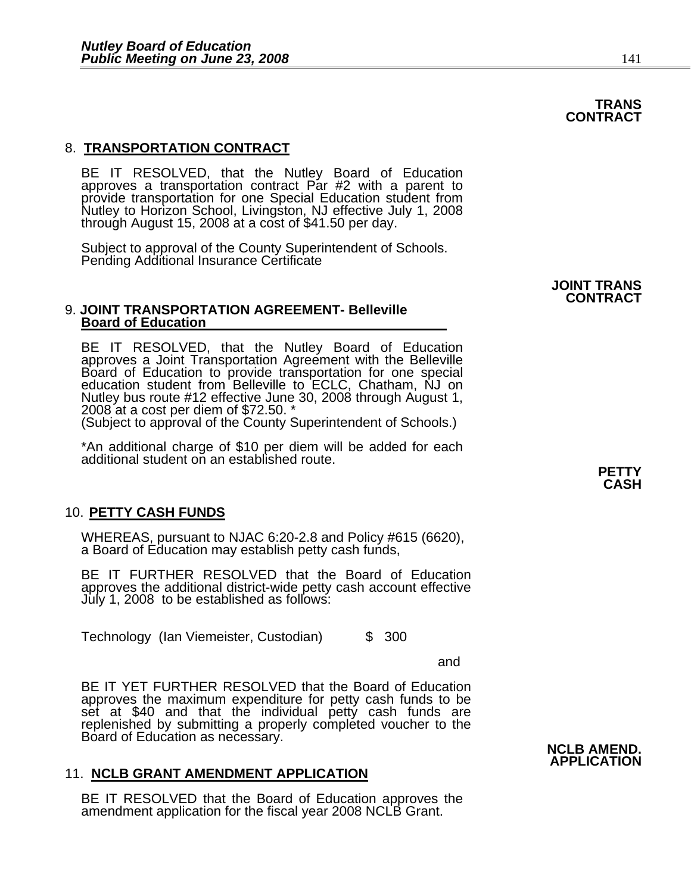# 8. **TRANSPORTATION CONTRACT**

BE IT RESOLVED, that the Nutley Board of Education approves a transportation contract Par #2 with a parent to provide transportation for one Special Education student from<br>Nutley to Horizon School, Livingston, NJ effective July 1, 2008<br>through August 15, 2008 at a cost of \$41.50 per day.

Subject to approval of the County Superintendent of Schools. Pending Additional Insurance Certificate

#### 9. **JOINT TRANSPORTATION AGREEMENT- Belleville Board of Education**

BE IT RESOLVED, that the Nutley Board of Education approves a Joint Transportation Agreement with the Belleville Board of Education to provide transportation for one special Board of Education to provide transportation for one special<br>education student from Belleville to ECLC, Chatham, NJ on Nutley bus route #12 effective June 30, 2008 through August 1,<br>2008 at a cost per diem of \$72.50. \*

(Subject to approval of the County Superintendent of Schools.)

\*An additional charge of \$10 per diem will be added for each additional student on an established route.

#### 10. **PETTY CASH FUNDS**

WHEREAS, pursuant to NJAC 6:20-2.8 and Policy #615 (6620), a Board of Education may establish petty cash funds,

BE IT FURTHER RESOLVED that the Board of Education approves the additional district-wide petty cash account effective July 1, 2008 to be established as follows:

Technology (Ian Viemeister, Custodian) \$ 300

and the control of the control of the control of the control of the control of the control of the control of t

BE IT YET FURTHER RESOLVED that the Board of Education approves the maximum expenditure for petty cash funds to be set at \$40 and that the individual petty cash funds are replenished by submitting a properly completed voucher to the Board of Education as necessary.<br> **NCLB AMEND.**<br>
APPLICATION

#### 11. **NCLB GRANT AMENDMENT APPLICATION**

BE IT RESOLVED that the Board of Education approves the amendment application for the fiscal year 2008 NCLB Grant.

# **JOINT TRANS CONTRACT**

### **TRANS CONTRACT**

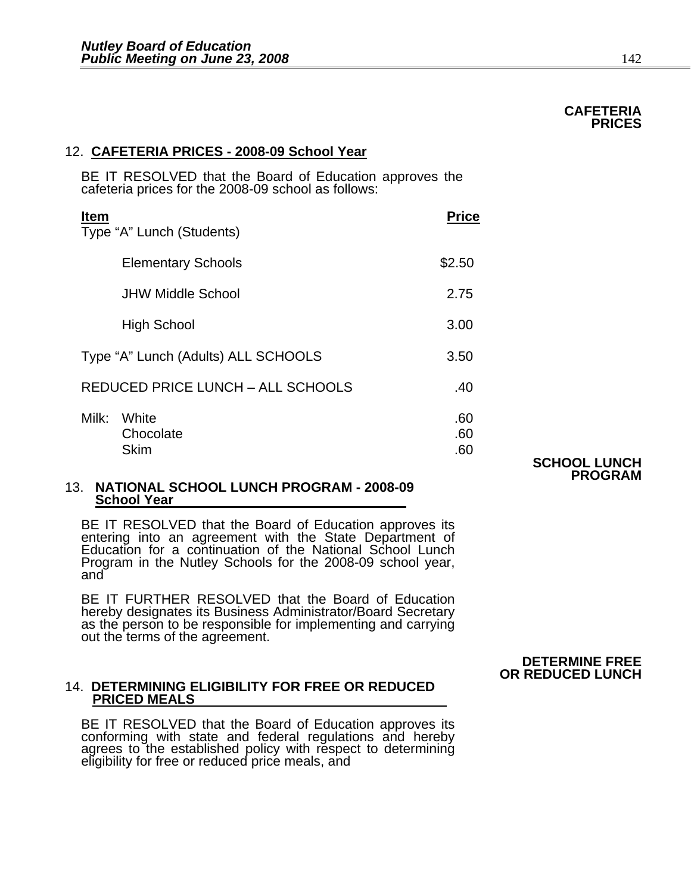# 12. **CAFETERIA PRICES - 2008-09 School Year**

BE IT RESOLVED that the Board of Education approves the cafeteria prices for the 2008-09 school as follows:

| <b>Item</b> | Type "A" Lunch (Students)           | <b>Price</b>      |
|-------------|-------------------------------------|-------------------|
|             | <b>Elementary Schools</b>           | \$2.50            |
|             | <b>JHW Middle School</b>            | 2.75              |
|             | <b>High School</b>                  | 3.00              |
|             | Type "A" Lunch (Adults) ALL SCHOOLS | 3.50              |
|             | REDUCED PRICE LUNCH - ALL SCHOOLS   | .40               |
| Milk:       | White<br>Chocolate<br><b>Skim</b>   | .60<br>.60<br>.60 |

**SCHOOL LUNCH PROGRAM** 

#### 13. **NATIONAL SCHOOL LUNCH PROGRAM - 2008-09 School Year**

BE IT RESOLVED that the Board of Education approves its entering into an agreement with the State Department of Education for a continuation of the National School Lunch Program in the Nutley Schools for the 2008-09 school year, and

BE IT FURTHER RESOLVED that the Board of Education hereby designates its Business Administrator/Board Secretary<br>as the person to be responsible for implementing and carrying as the person to be responsible for implementing and carrying out the terms of the agreement.

# 14. **DETERMINING ELIGIBILITY FOR FREE OR REDUCED PRICED MEALS**

BE IT RESOLVED that the Board of Education approves its conforming with state and federal regulations and hereby agrees to the established policy with respect to determining eligibility for free or reduced price meals, and

# **DETERMINE FREE OR REDUCED LUNCH**

#### **CAFETERIA PRICES PRICES**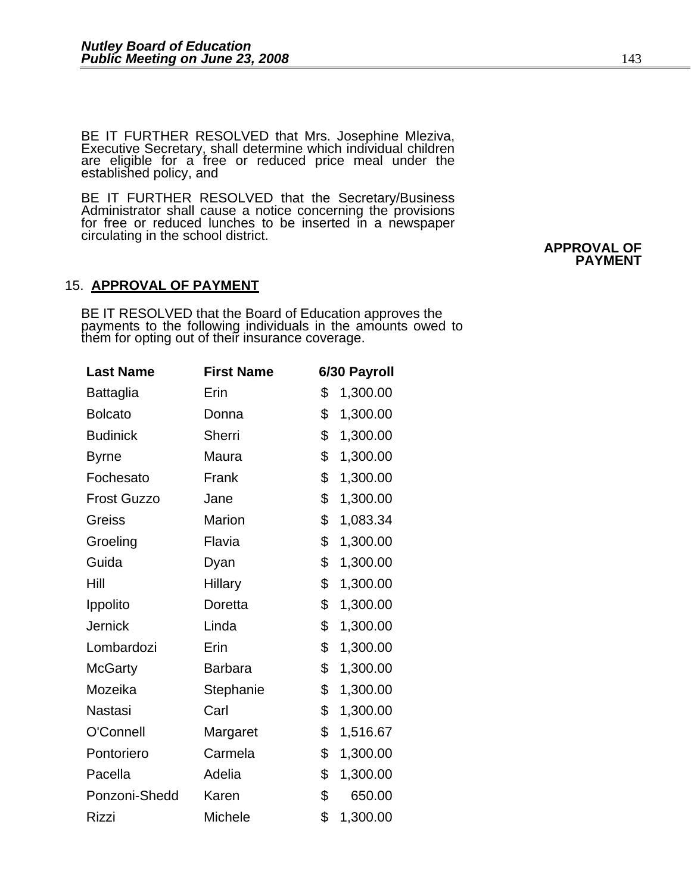BE IT FURTHER RESOLVED that Mrs. Josephine Mleziva,<br>Executive Secretary, shall determine which individual children are eligible for a free or reduced price meal under the established policy, and

BE IT FURTHER RESOLVED that the Secretary/Business Administrator shall cause a notice concerning the provisions for free or reduced lunches to be inserted in a newspaper circulating in the school district.<br> **APPROVAL OF** 

# 15. **APPROVAL OF PAYMENT**

BE IT RESOLVED that the Board of Education approves the<br>payments to the following individuals in the amounts owed to them for opting out of their insurance coverage.

| <b>Last Name</b>   | <b>First Name</b> | 6/30 Payroll   |
|--------------------|-------------------|----------------|
| Battaglia          | Erin              | \$<br>1,300.00 |
| <b>Bolcato</b>     | Donna             | \$<br>1,300.00 |
| <b>Budinick</b>    | Sherri            | \$<br>1,300.00 |
| <b>Byrne</b>       | Maura             | \$<br>1,300.00 |
| Fochesato          | Frank             | \$<br>1,300.00 |
| <b>Frost Guzzo</b> | Jane              | \$<br>1,300.00 |
| <b>Greiss</b>      | Marion            | \$<br>1,083.34 |
| Groeling           | Flavia            | \$<br>1,300.00 |
| Guida              | Dyan              | \$<br>1,300.00 |
| Hill               | <b>Hillary</b>    | \$<br>1,300.00 |
| Ippolito           | Doretta           | \$<br>1,300.00 |
| <b>Jernick</b>     | Linda             | \$<br>1,300.00 |
| Lombardozi         | Erin              | \$<br>1,300.00 |
| <b>McGarty</b>     | <b>Barbara</b>    | \$<br>1,300.00 |
| Mozeika            | Stephanie         | \$<br>1,300.00 |
| Nastasi            | Carl              | \$<br>1,300.00 |
| O'Connell          | Margaret          | \$<br>1,516.67 |
| Pontoriero         | Carmela           | \$<br>1,300.00 |
| Pacella            | Adelia            | \$<br>1,300.00 |
| Ponzoni-Shedd      | Karen             | \$<br>650.00   |
| <b>Rizzi</b>       | Michele           | \$<br>1,300.00 |

 **PAYMENT**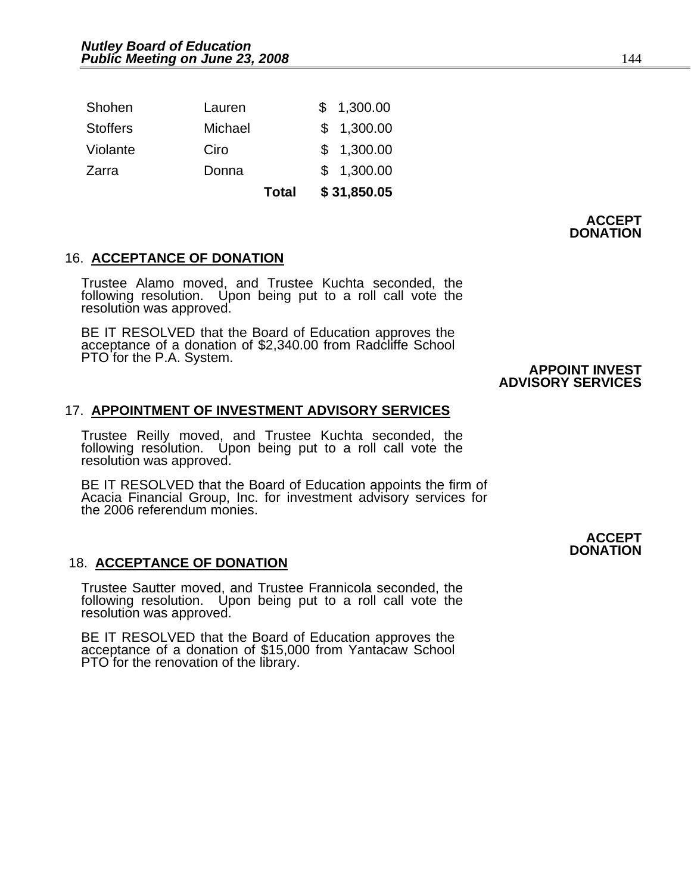|                 |         | <b>Total</b> | \$31,850.05 |
|-----------------|---------|--------------|-------------|
| Zarra           | Donna   |              | \$1,300.00  |
| Violante        | Ciro    |              | \$1,300.00  |
| <b>Stoffers</b> | Michael |              | \$1,300.00  |
| Shohen          | Lauren  |              | \$1,300.00  |

**ACCEPT DONATION** 

# 16. **ACCEPTANCE OF DONATION**

Trustee Alamo moved, and Trustee Kuchta seconded, the following resolution. Upon being put to a roll call vote the resolution was approved.

BE IT RESOLVED that the Board of Education approves the acceptance of a donation of \$2,340.00 from Radcliffe School PTO for the P.A. System.<br> **APPOINT INVEST** 

 **ADVISORY SERVICES** 

#### 17. **APPOINTMENT OF INVESTMENT ADVISORY SERVICES**

Trustee Reilly moved, and Trustee Kuchta seconded, the following resolution. Upon being put to a roll call vote the resolution was approved.

BE IT RESOLVED that the Board of Education appoints the firm of Acacia Financial Group, Inc. for investment advisory services for the 2006 referendum monies.

#### 18. **ACCEPTANCE OF DONATION**

Trustee Sautter moved, and Trustee Frannicola seconded, the following resolution. Upon being put to a roll call vote the<br>resolution was approved.

BE IT RESOLVED that the Board of Education approves the acceptance of a donation of \$15,000 from Yantacaw School PTO for the renovation of the library.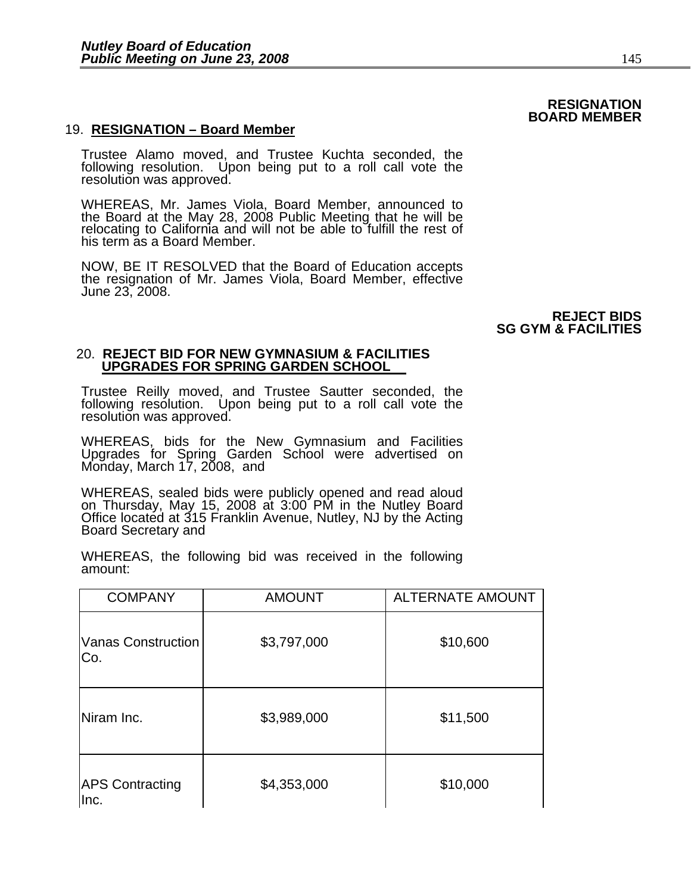# 19. **RESIGNATION – Board Member**

Trustee Alamo moved, and Trustee Kuchta seconded, the following resolution. Upon being put to a roll call vote the resolution was approved.

WHEREAS, Mr. James Viola, Board Member, announced to the Board at the May 28, 2008 Public Meeting that he will be relocating to California and will not be able to fulfill the rest of his term as a Board Member.

NOW, BE IT RESOLVED that the Board of Education accepts the resignation of Mr. James Viola, Board Member, effective June 23, 2008.

#### **REJECT BIDS SG GYM & FACILITIES**

#### 20. **REJECT BID FOR NEW GYMNASIUM & FACILITIES UPGRADES FOR SPRING GARDEN SCHOOL**

Trustee Reilly moved, and Trustee Sautter seconded, the following resolution. Upon being put to a roll call vote the<br>resolution was approved.

WHEREAS, bids for the New Gymnasium and Facilities Upgrades for Spring Garden School were advertised on Monday, March 17, 2008, and

WHEREAS, sealed bids were publicly opened and read aloud on Thursday, May 15, 2008 at 3:00 PM in the Nutley Board Office located at 315 Franklin Avenue, Nutley, NJ by the Acting Board Secretary and

WHEREAS, the following bid was received in the following amount:

| <b>COMPANY</b>                 | <b>AMOUNT</b> | <b>ALTERNATE AMOUNT</b> |
|--------------------------------|---------------|-------------------------|
| Vanas Construction<br>Co.      | \$3,797,000   | \$10,600                |
| Niram Inc.                     | \$3,989,000   | \$11,500                |
| <b>APS Contracting</b><br>Inc. | \$4,353,000   | \$10,000                |

**RESIGNATION BOARD MEMBER**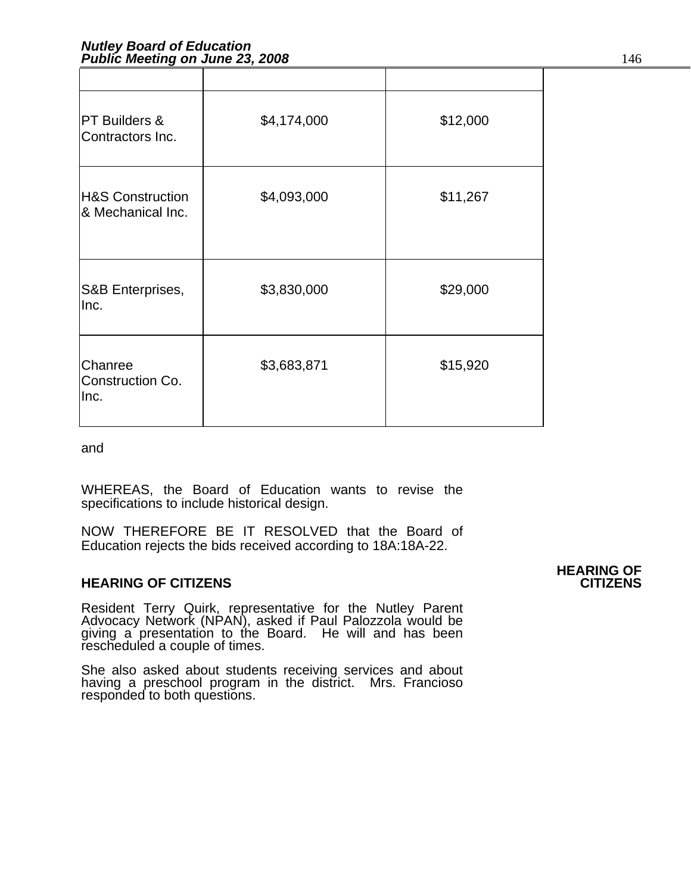| <b>PT Builders &amp;</b><br>Contractors Inc.     | \$4,174,000 | \$12,000 |
|--------------------------------------------------|-------------|----------|
| <b>H&amp;S Construction</b><br>& Mechanical Inc. | \$4,093,000 | \$11,267 |
| S&B Enterprises,<br>Inc.                         | \$3,830,000 | \$29,000 |
| Chanree<br>Construction Co.<br>Inc.              | \$3,683,871 | \$15,920 |

and

WHEREAS, the Board of Education wants to revise the specifications to include historical design.

NOW THEREFORE BE IT RESOLVED that the Board of Education rejects the bids received according to 18A:18A-22.

# **HEARING OF CITIZENS CITIZENS**

Resident Terry Quirk, representative for the Nutley Parent<br>Advocacy Network (NPAN), asked if Paul Palozzola would be giving a presentation to the Board. He will and has been rescheduled a couple of times.

She also asked about students receiving services and about having a preschool program in the district. Mrs. Francioso responded to both questions.

**HEARING OF**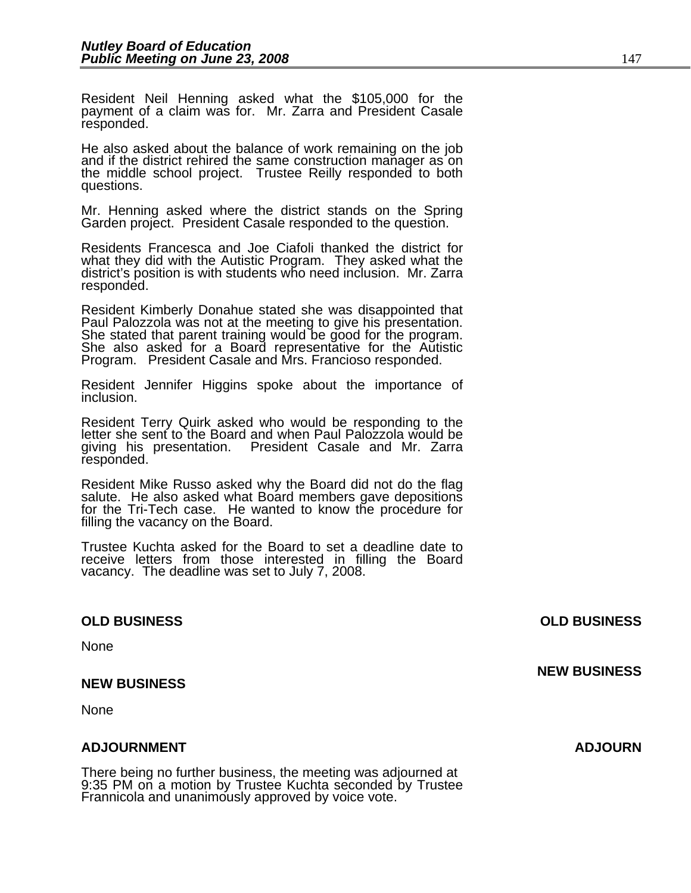Resident Neil Henning asked what the \$105,000 for the payment of a claim was for. Mr. Zarra and President Casale responded.

He also asked about the balance of work remaining on the job and if the district rehired the same construction manager as on the middle school project. Trustee Reilly responded to both questions.

Mr. Henning asked where the district stands on the Spring Garden project. President Casale responded to the question.

Residents Francesca and Joe Ciafoli thanked the district for what they did with the Autistic Program. They asked what the district's position is with students who need inclusion. Mr. Zarra responded.

Resident Kimberly Donahue stated she was disappointed that<br>Paul Palozzola was not at the meeting to give his presentation.<br>She stated that parent training would be good for the program.<br>She also asked for a Board represent Program. President Casale and Mrs. Francioso responded.

Resident Jennifer Higgins spoke about the importance of inclusion.

Resident Terry Quirk asked who would be responding to the letter she sent to the Board and when Paul Palozzola would be giving his presentation. President Casale and Mr. Zarra responded.

Resident Mike Russo asked why the Board did not do the flag salute. He also asked what Board members gave depositions for the Tri-Tech case. He wanted to know the procedure for filling the vacancy on the Board.

Trustee Kuchta asked for the Board to set a deadline date to receive letters from those interested in filling the Board vacancy. The deadline was set to July 7, 2008.

# **OLD BUSINESS OLD BUSINESS**

None

#### **NEW BUSINESS**

None

#### **ADJOURNMENT ADJOURN**

There being no further business, the meeting was adjourned at 9:35 PM on a motion by Trustee Kuchta seconded by Trustee Frannicola and unanimously approved by voice vote.

**NEW BUSINESS**